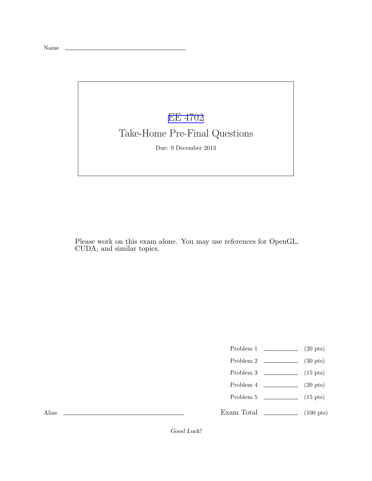## [EE 4702](http://www.ece.lsu.edu/koppel/gpup/) Take-Home Pre-Final Questions

Due: 9 December 2013

Please work on this exam alone. You may use references for OpenGL, CUDA, and similar topics.

- Problem 1  $\qquad \qquad (20 \text{ pts})$
- Problem 2  $\sim$  (30 pts)
- Problem 3  $\sim$  (15 pts)
- Problem 4  $\qquad \qquad (20 \text{ pts})$
- Problem 5 (15 pts)
- Exam Total  $\qquad \qquad$  (100 pts)

Alias

Good Luck!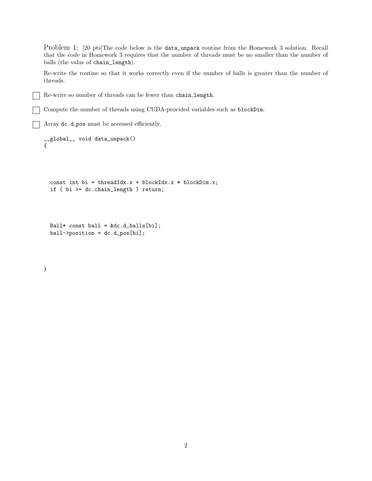Problem 1: [20 pts]The code below is the data\_unpack routine from the Homework 3 solution. Recall that the code in Homework 3 requires that the number of threads must be no smaller than the number of balls (the value of chain\_length).

Re-write the routine so that it works correctly even if the number of balls is greater than the number of threads.

Re-write so number of threads can be fewer than chain length.

Compute the number of threads using CUDA-provided variables such as blockDim.

Array dc.d pos must be accessed efficiently.

```
__global__ void data_unpack()
```

```
const int bi = threadIdx.x + blockIdx.x * blockDim.x;
if ( bi >= dc.chain_length ) return;
```

```
Ball* const ball = kdc.d_balls[bi];ball->position = dc.d_pos[bi];
```
## }

{

 $\blacksquare$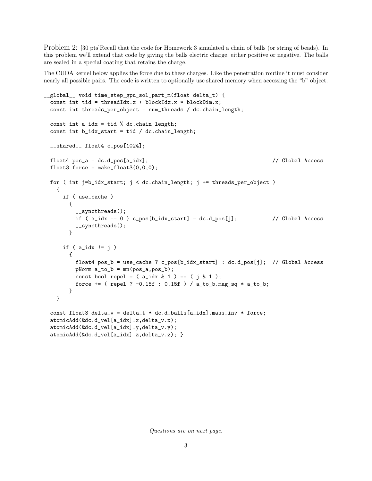Problem 2: [30 pts]Recall that the code for Homework 3 simulated a chain of balls (or string of beads). In this problem we'll extend that code by giving the balls electric charge, either positive or negative. The balls are sealed in a special coating that retains the charge.

The CUDA kernel below applies the force due to these charges. Like the penetration routine it must consider nearly all possible pairs. The code is written to optionally use shared memory when accessing the "b" object.

```
__global__ void time_step_gpu_sol_part_m(float delta_t) {
 const int tid = threadIdx.x + blockIdx.x * blockDim.x;
 const int threads_per_object = num_threads / dc.chain_length;
 const int a_idx = tid % dc-chain_length;const int b_idx_start = tid / dc.chain_length;
 __shared__ float4 c_pos[1024];
 float4 pos_a = dc.d_pos[a_idx]; // Global Access
 float3 force = make_float3(0,0,0);
 for ( int j=b_idx_start; j < dc.chain_length; j += threads_per_object )
   {
     if ( use_cache )
       {
         __syncthreads();
         if (a_idx == 0) c_pos[b_idx_start] = dc.d_pos[j]; // Global Access
         __syncthreads();
       }
     if ( a_idx != j )
       {
         float4 pos_b = use_cache ? c_pos[b_idx_start] : dc.d_pos[j]; // Global Access
         pNorm a_to_b = mn(pos_a, pos_b);const bool repel = (a_idx & 1) == (i & 1);force += ( repel ? -0.15f : 0.15f ) / a_to_b.mag_sq * a_to_b;
       }
   }
 const float3 delta_v = delta_t * dc.d_balls[a_idx].mass_inv * force;
 atomicAdd(&dc.d_vel[a_idx].x,delta_v.x);
 atomicAdd(&dc.d_vel[a_idx].y,delta_v.y);
 atomicAdd(&dc.d_vel[a_idx].z,delta_v.z); }
```
*Questions are on next page.*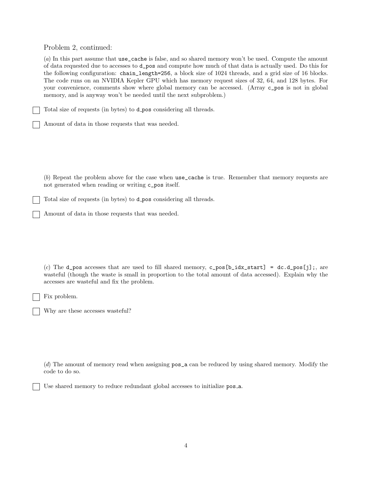Problem 2, continued:

(*a*) In this part assume that use\_cache is false, and so shared memory won't be used. Compute the amount of data requested due to accesses to d\_pos and compute how much of that data is actually used. Do this for the following configuration: chain\_length=256, a block size of 1024 threads, and a grid size of 16 blocks. The code runs on an NVIDIA Kepler GPU which has memory request sizes of 32, 64, and 128 bytes. For your convenience, comments show where global memory can be accessed. (Array c\_pos is not in global memory, and is anyway won't be needed until the next subproblem.)

Total size of requests (in bytes) to d pos considering all threads.

Amount of data in those requests that was needed.

(*b*) Repeat the problem above for the case when use\_cache is true. Remember that memory requests are not generated when reading or writing c\_pos itself.

Total size of requests (in bytes) to d pos considering all threads.

Amount of data in those requests that was needed.

(*c*) The d\_pos accesses that are used to fill shared memory,  $c$ \_pos[b\_idx\_start] = dc.d\_pos[j];, are wasteful (though the waste is small in proportion to the total amount of data accessed). Explain why the accesses are wasteful and fix the problem.

Fix problem.

Why are these accesses wasteful?

(*d*) The amount of memory read when assigning pos\_a can be reduced by using shared memory. Modify the code to do so.

Use shared memory to reduce redundant global accesses to initialize pos a.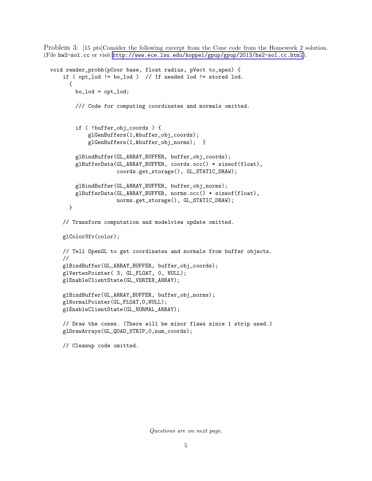Problem 3: [15 pts]Consider the following excerpt from the Cone code from the Homework 2 solution. (File hw2-sol.cc or visit <http://www.ece.lsu.edu/koppel/gpup/gpup/2013/hw2-sol.cc.html>).

```
void render_probb(pCoor base, float radius, pVect to_apex) {
    if ( opt_lod != bo_lod ) // If needed lod != stored lod.
     {
        bo\_lod = opt\_lod;/// Code for computing coordinates and normals omitted.
        if ( !buffer_obj_coords ) {
            glGenBuffers(1,&buffer_obj_coords);
            glGenBuffers(1,&buffer_obj_norms); }
        glBindBuffer(GL_ARRAY_BUFFER, buffer_obj_coords);
        glBufferData(GL_ARRAY_BUFFER, coords.occ() * sizeof(float),
                     coords.get_storage(), GL_STATIC_DRAW);
        glBindBuffer(GL_ARRAY_BUFFER, buffer_obj_norms);
        glBufferData(GL_ARRAY_BUFFER, norms.occ() * sizeof(float),
                     norms.get_storage(), GL_STATIC_DRAW);
     }
    // Transform computation and modelview update omitted.
    glColor3fv(color);
   // Tell OpenGL to get coordinates and normals from buffer objects.
   //
    glBindBuffer(GL_ARRAY_BUFFER, buffer_obj_coords);
    glVertexPointer( 3, GL_FLOAT, 0, NULL);
    glEnableClientState(GL_VERTEX_ARRAY);
    glBindBuffer(GL_ARRAY_BUFFER, buffer_obj_norms);
   glNormalPointer(GL_FLOAT,0,NULL);
   glEnableClientState(GL_NORMAL_ARRAY);
    // Draw the cones. (There will be minor flaws since 1 strip used.)
    glDrawArrays(GL_QUAD_STRIP,0,num_coords);
   // Cleanup code omitted.
```
*Questions are on next page.*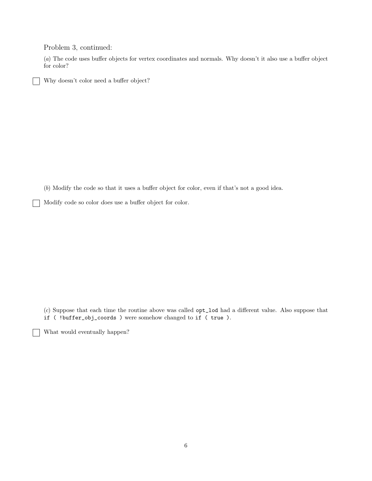Problem 3, continued:

(*a*) The code uses buffer objects for vertex coordinates and normals. Why doesn't it also use a buffer object for color?

Why doesn't color need a buffer object?

(*b*) Modify the code so that it uses a buffer object for color, even if that's not a good idea.

Modify code so color does use a buffer object for color.

(*c*) Suppose that each time the routine above was called opt\_lod had a different value. Also suppose that if ( !buffer\_obj\_coords ) were somehow changed to if ( true ).

What would eventually happen?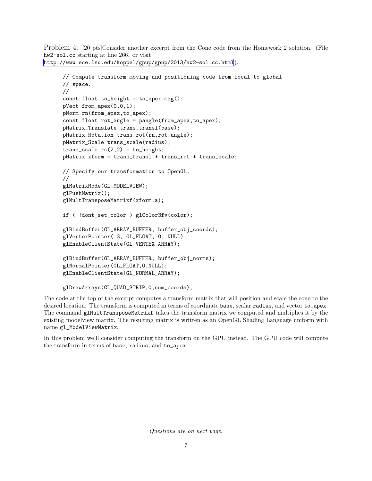Problem 4: [20 pts]Consider another excerpt from the Cone code from the Homework 2 solution. (File hw2-sol.cc starting at line 266. or visit <http://www.ece.lsu.edu/koppel/gpup/gpup/2013/hw2-sol.cc.html>).

```
// Compute transform moving and positioning code from local to global
// space.
//
const float to_height = to_apex.mag();
pVect from_apex(0,0,1);
pNorm rn(from_apex,to_apex);
const float rot_angle = pangle(from_apex,to_apex);
pMatrix_Translate trans_transl(base);
pMatrix_Rotation trans_rot(rn,rot_angle);
pMatrix_Scale trans_scale(radius);
trans\_scale.rc(2,2) = to\_height;pMatrix xform = trans_transl * trans_rot * trans_scale;
// Specify our transformation to OpenGL.
//
glMatrixMode(GL_MODELVIEW);
glPushMatrix();
glMultTransposeMatrixf(xform.a);
if ( !dont_set_color ) glColor3fv(color);
glBindBuffer(GL_ARRAY_BUFFER, buffer_obj_coords);
glVertexPointer( 3, GL_FLOAT, 0, NULL);
glEnableClientState(GL_VERTEX_ARRAY);
glBindBuffer(GL_ARRAY_BUFFER, buffer_obj_norms);
glNormalPointer(GL_FLOAT,0,NULL);
glEnableClientState(GL_NORMAL_ARRAY);
glDrawArrays(GL_QUAD_STRIP,0,num_coords);
```
The code at the top of the excerpt computes a transform matrix that will position and scale the cone to the desired location. The transform is computed in terms of coordinate base, scalar radius, and vector to\_apex. The command glMultTransposeMatrixf takes the transform matrix we computed and multiplies it by the existing modelview matrix. The resulting matrix is written as an OpenGL Shading Language uniform with name gl\_ModelViewMatrix.

In this problem we'll consider computing the transform on the GPU instead. The GPU code will compute the transform in terms of base, radius, and to\_apex.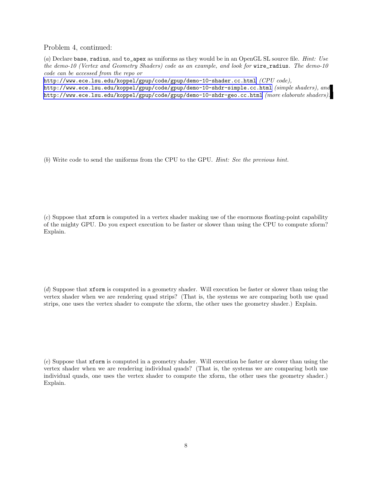Problem 4, continued:

(*a*) Declare base, radius, and to\_apex as uniforms as they would be in an OpenGL SL source file. *Hint: Use the demo-10 (Vertex and Geometry Shaders) code as an example, and look for* wire\_radius*. The demo-10 code can be accessed from the repo or*

<http://www.ece.lsu.edu/koppel/gpup/code/gpup/demo-10-shader.cc.html> *(CPU code),*

<http://www.ece.lsu.edu/koppel/gpup/code/gpup/demo-10-shdr-simple.cc.html> *(simple shaders), and* <http://www.ece.lsu.edu/koppel/gpup/code/gpup/demo-10-shdr-geo.cc.html> *(more elaborate shaders).*

(*b*) Write code to send the uniforms from the CPU to the GPU. *Hint: See the previous hint.*

(*c*) Suppose that xform is computed in a vertex shader making use of the enormous floating-point capability of the mighty GPU. Do you expect execution to be faster or slower than using the CPU to compute xform? Explain.

(*d*) Suppose that xform is computed in a geometry shader. Will execution be faster or slower than using the vertex shader when we are rendering quad strips? (That is, the systems we are comparing both use quad strips, one uses the vertex shader to compute the xform, the other uses the geometry shader.) Explain.

(*e*) Suppose that xform is computed in a geometry shader. Will execution be faster or slower than using the vertex shader when we are rendering individual quads? (That is, the systems we are comparing both use individual quads, one uses the vertex shader to compute the xform, the other uses the geometry shader.) Explain.